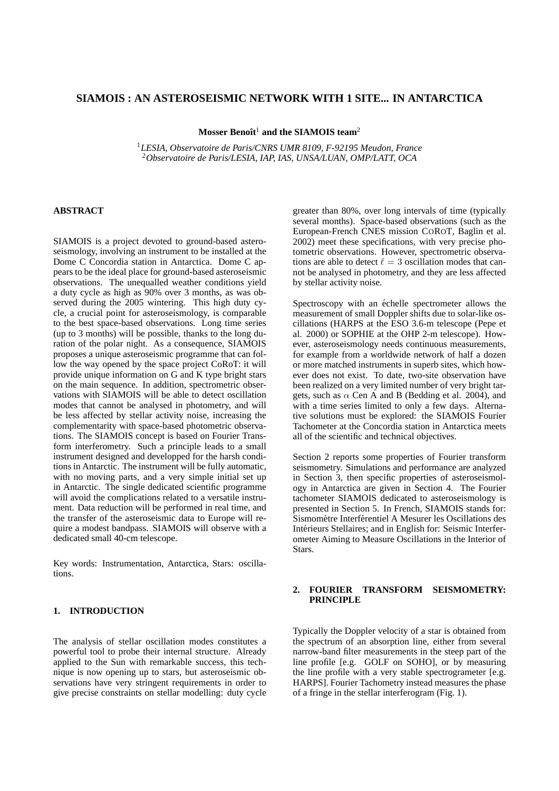# **SIAMOIS : AN ASTEROSEISMIC NETWORK WITH 1 SITE... IN ANTARCTICA**

**Mosser Benoît<sup>1</sup> and the SIAMOIS team<sup>2</sup>** 

<sup>1</sup>*LESIA, Observatoire de Paris/CNRS UMR 8109, F-92195 Meudon, France* <sup>2</sup>*Observatoire de Paris/LESIA, IAP, IAS, UNSA/LUAN, OMP/LATT, OCA*

## **ABSTRACT**

SIAMOIS is a project devoted to ground-based asteroseismology, involving an instrument to be installed at the Dome C Concordia station in Antarctica. Dome C appears to be the ideal place for ground-based asteroseismic observations. The unequalled weather conditions yield a duty cycle as high as 90% over 3 months, as was observed during the 2005 wintering. This high duty cycle, a crucial point for asteroseismology, is comparable to the best space-based observations. Long time series (up to 3 months) will be possible, thanks to the long duration of the polar night. As a consequence, SIAMOIS proposes a unique asteroseismic programme that can follow the way opened by the space project CoRoT: it will provide unique information on G and K type bright stars on the main sequence. In addition, spectrometric observations with SIAMOIS will be able to detect oscillation modes that cannot be analysed in photometry, and will be less affected by stellar activity noise, increasing the complementarity with space-based photometric observations. The SIAMOIS concept is based on Fourier Transform interferometry. Such a principle leads to a small instrument designed and developped for the harsh conditions in Antarctic. The instrument will be fully automatic, with no moving parts, and a very simple initial set up in Antarctic. The single dedicated scientific programme will avoid the complications related to a versatile instrument. Data reduction will be performed in real time, and the transfer of the asteroseismic data to Europe will require a modest bandpass. SIAMOIS will observe with a dedicated small 40-cm telescope.

Key words: Instrumentation, Antarctica, Stars: oscillations.

## **1. INTRODUCTION**

The analysis of stellar oscillation modes constitutes a powerful tool to probe their internal structure. Already applied to the Sun with remarkable success, this technique is now opening up to stars, but asteroseismic observations have very stringent requirements in order to give precise constraints on stellar modelling: duty cycle greater than 80%, over long intervals of time (typically several months). Space-based observations (such as the European-French CNES mission COROT, Baglin et al. 2002) meet these specifications, with very precise photometric observations. However, spectrometric observations are able to detect  $\ell = 3$  oscillation modes that cannot be analysed in photometry, and they are less affected by stellar activity noise.

Spectroscopy with an échelle spectrometer allows the measurement of small Doppler shifts due to solar-like oscillations (HARPS at the ESO 3.6-m telescope (Pepe et al. 2000) or SOPHIE at the OHP 2-m telescope). However, asteroseismology needs continuous measurements, for example from a worldwide network of half a dozen or more matched instruments in superb sites, which however does not exist. To date, two-site observation have been realized on a very limited number of very bright targets, such as  $\alpha$  Cen A and B (Bedding et al. 2004), and with a time series limited to only a few days. Alternative solutions must be explored: the SIAMOIS Fourier Tachometer at the Concordia station in Antarctica meets all of the scientific and technical objectives.

Section 2 reports some properties of Fourier transform seismometry. Simulations and performance are analyzed in Section 3, then specific properties of asteroseismology in Antarctica are given in Section 4. The Fourier tachometer SIAMOIS dedicated to asteroseismology is presented in Section 5. In French, SIAMOIS stands for: Sismomètre Interférentiel A Mesurer les Oscillations des Interieurs Stellaires; and in English for: Seismic Interfer- ´ ometer Aiming to Measure Oscillations in the Interior of Stars.

### **2. FOURIER TRANSFORM SEISMOMETRY: PRINCIPLE**

Typically the Doppler velocity of a star is obtained from the spectrum of an absorption line, either from several narrow-band filter measurements in the steep part of the line profile [e.g. GOLF on SOHO], or by measuring the line profile with a very stable spectrogrameter [e.g. HARPS]. Fourier Tachometry instead measures the phase of a fringe in the stellar interferogram (Fig. 1).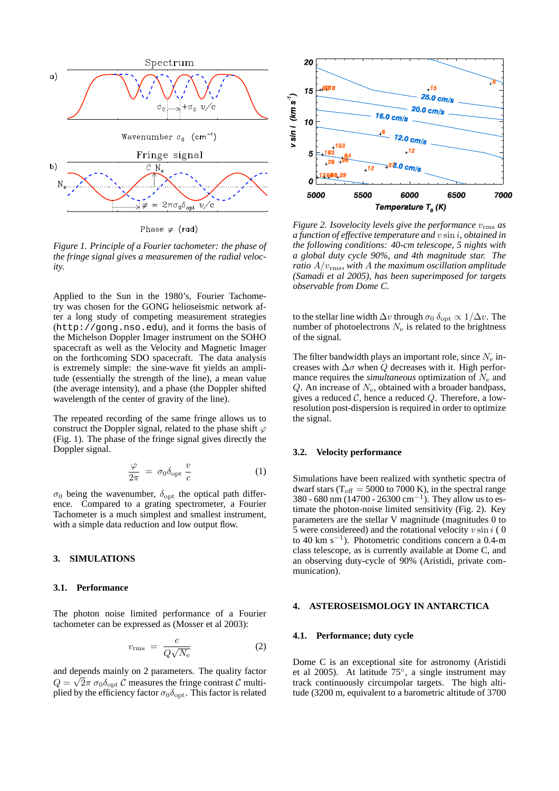

Phase  $\varphi$  (rad)

*Figure 1. Principle of a Fourier tachometer: the phase of the fringe signal gives a measuremen of the radial velocity.*

Applied to the Sun in the 1980's, Fourier Tachometry was chosen for the GONG helioseismic network after a long study of competing measurement strategies (http://gong.nso.edu), and it forms the basis of the Michelson Doppler Imager instrument on the SOHO spacecraft as well as the Velocity and Magnetic Imager on the forthcoming SDO spacecraft. The data analysis is extremely simple: the sine-wave fit yields an amplitude (essentially the strength of the line), a mean value (the average intensity), and a phase (the Doppler shifted wavelength of the center of gravity of the line).

The repeated recording of the same fringe allows us to construct the Doppler signal, related to the phase shift  $\varphi$ (Fig. 1). The phase of the fringe signal gives directly the Doppler signal.

$$
\frac{\varphi}{2\pi} = \sigma_0 \delta_{\text{opt}} \frac{v}{c} \tag{1}
$$

 $\sigma_0$  being the wavenumber,  $\delta_{\text{opt}}$  the optical path difference. Compared to a grating spectrometer, a Fourier Tachometer is a much simplest and smallest instrument, with a simple data reduction and low output flow.

#### **3. SIMULATIONS**

#### **3.1. Performance**

The photon noise limited performance of a Fourier tachometer can be expressed as (Mosser et al 2003):

$$
v_{\rm rms} = \frac{c}{Q\sqrt{N_{\rm e}}}
$$
 (2)

and depends mainly on 2 parameters. The quality factor √  $Q = \sqrt{2\pi} \sigma_0 \delta_{\rm opt}$  C measures the fringe contrast C multiplied by the efficiency factor  $\sigma_0 \delta_{\rm opt}$ . This factor is related



*Figure 2. Isovelocity levels give the performance*  $v_{\rm rms}$  *as a function of effective temperature and* v sin i*, obtained in the following conditions: 40-cm telescope, 5 nights with a global duty cycle 90%, and 4th magnitude star. The ratio*  $A/v_{\rm rms}$ *, with* A *the maximum oscillation amplitude (Samadi et al 2005), has been superimposed for targets observable from Dome C.*

to the stellar line width  $\Delta v$  through  $\sigma_0 \, \delta_{\text{opt}} \propto 1/\Delta v$ . The number of photoelectrons  $N_e$  is related to the brightness of the signal.

The filter bandwidth plays an important role, since  $N_e$  increases with  $\Delta \sigma$  when Q decreases with it. High performance requires the *simultaneous* optimization of  $N_e$  and  $Q$ . An increase of  $N_e$ , obtained with a broader bandpass, gives a reduced  $C$ , hence a reduced  $Q$ . Therefore, a lowresolution post-dispersion is required in order to optimize the signal.

#### **3.2. Velocity performance**

Simulations have been realized with synthetic spectra of dwarf stars ( $T_{\text{eff}}$  = 5000 to 7000 K), in the spectral range 380 - 680 nm (14700 - 26300 cm<sup>-1</sup>). They allow us to estimate the photon-noise limited sensitivity (Fig. 2). Key parameters are the stellar V magnitude (magnitudes 0 to 5 were considereed) and the rotational velocity  $v \sin i$  (0 to 40 km s<sup>−</sup><sup>1</sup> ). Photometric conditions concern a 0.4-m class telescope, as is currently available at Dome C, and an observing duty-cycle of 90% (Aristidi, private communication).

#### **4. ASTEROSEISMOLOGY IN ANTARCTICA**

#### **4.1. Performance; duty cycle**

Dome C is an exceptional site for astronomy (Aristidi et al 2005). At latitude 75◦ , a single instrument may track continuously circumpolar targets. The high altitude (3200 m, equivalent to a barometric altitude of 3700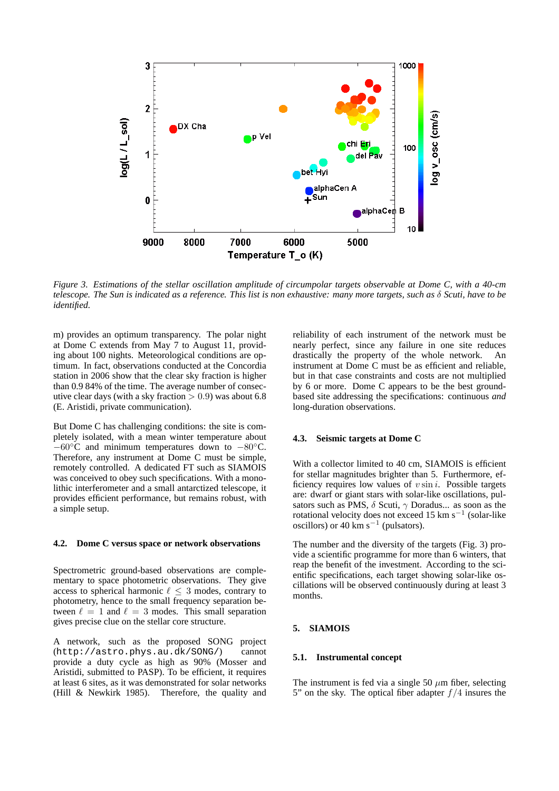

*Figure 3. Estimations of the stellar oscillation amplitude of circumpolar targets observable at Dome C, with a 40-cm telescope. The Sun is indicated as a reference. This list is non exhaustive: many more targets, such as* δ *Scuti, have to be identified.*

m) provides an optimum transparency. The polar night at Dome C extends from May 7 to August 11, providing about 100 nights. Meteorological conditions are optimum. In fact, observations conducted at the Concordia station in 2006 show that the clear sky fraction is higher than 0.9 84% of the time. The average number of consecutive clear days (with a sky fraction  $> 0.9$ ) was about 6.8 (E. Aristidi, private communication).

But Dome C has challenging conditions: the site is completely isolated, with a mean winter temperature about −60◦C and minimum temperatures down to −80◦C. Therefore, any instrument at Dome C must be simple, remotely controlled. A dedicated FT such as SIAMOIS was conceived to obey such specifications. With a monolithic interferometer and a small antarctized telescope, it provides efficient performance, but remains robust, with a simple setup.

#### **4.2. Dome C versus space or network observations**

Spectrometric ground-based observations are complementary to space photometric observations. They give access to spherical harmonic  $\ell \leq 3$  modes, contrary to photometry, hence to the small frequency separation between  $\ell = 1$  and  $\ell = 3$  modes. This small separation gives precise clue on the stellar core structure.

A network, such as the proposed SONG project (http://astro.phys.au.dk/SONG/) cannot provide a duty cycle as high as 90% (Mosser and Aristidi, submitted to PASP). To be efficient, it requires at least 6 sites, as it was demonstrated for solar networks (Hill & Newkirk 1985). Therefore, the quality and reliability of each instrument of the network must be nearly perfect, since any failure in one site reduces drastically the property of the whole network. An instrument at Dome C must be as efficient and reliable, but in that case constraints and costs are not multiplied by 6 or more. Dome C appears to be the best groundbased site addressing the specifications: continuous *and* long-duration observations.

#### **4.3. Seismic targets at Dome C**

With a collector limited to 40 cm, SIAMOIS is efficient for stellar magnitudes brighter than 5. Furthermore, efficiency requires low values of  $v \sin i$ . Possible targets are: dwarf or giant stars with solar-like oscillations, pulsators such as PMS,  $\delta$  Scuti,  $\gamma$  Doradus... as soon as the rotational velocity does not exceed 15 km s<sup>-1</sup> (solar-like oscillors) or 40 km s<sup> $-1$ </sup> (pulsators).

The number and the diversity of the targets (Fig. 3) provide a scientific programme for more than 6 winters, that reap the benefit of the investment. According to the scientific specifications, each target showing solar-like oscillations will be observed continuously during at least 3 months.

### **5. SIAMOIS**

#### **5.1. Instrumental concept**

The instrument is fed via a single 50  $\mu$ m fiber, selecting 5" on the sky. The optical fiber adapter  $f/4$  insures the